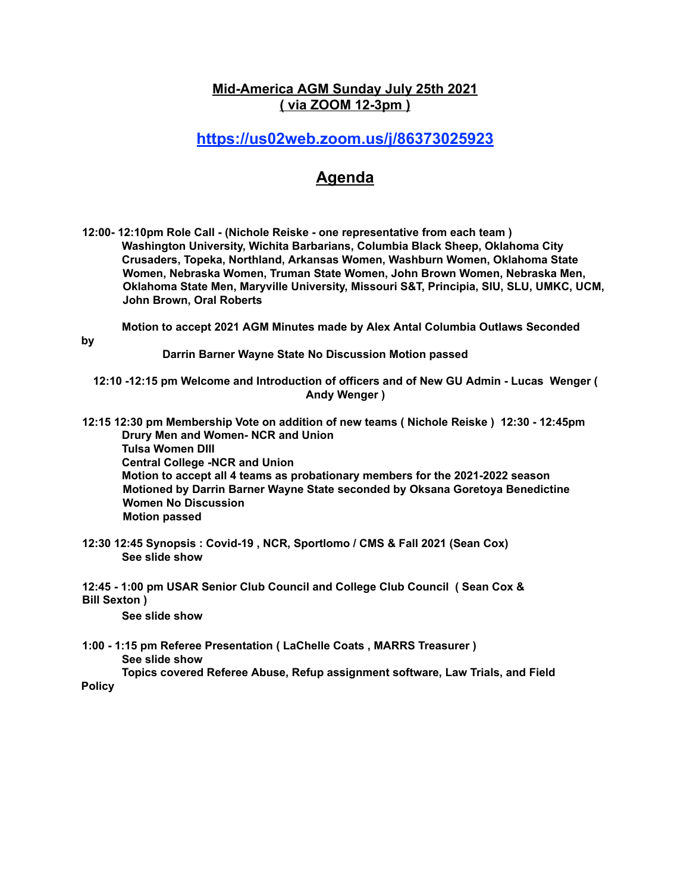### **Mid-America AGM Sunday July 25th 2021 ( via ZOOM 12-3pm )**

## **https://us02web.zoom.us/j/86373025923**

# **Agenda**

**12:00- 12:10pm Role Call - (Nichole Reiske - one representative from each team ) Washington University, Wichita Barbarians, Columbia Black Sheep, Oklahoma City Crusaders, Topeka, Northland, Arkansas Women, Washburn Women, Oklahoma State Women, Nebraska Women, Truman State Women, John Brown Women, Nebraska Men, Oklahoma State Men, Maryville University, Missouri S&T, Principia, SIU, SLU, UMKC, UCM, John Brown, Oral Roberts**

**Motion to accept 2021 AGM Minutes made by Alex Antal Columbia Outlaws Seconded**

**by**

**Darrin Barner Wayne State No Discussion Motion passed**

**12:10 -12:15 pm Welcome and Introduction of officers and of New GU Admin - Lucas Wenger ( Andy Wenger )**

**12:15 12:30 pm Membership Vote on addition of new teams ( Nichole Reiske ) 12:30 - 12:45pm Drury Men and Women- NCR and Union Tulsa Women DIII Central College -NCR and Union Motion to accept all 4 teams as probationary members for the 2021-2022 season Motioned by Darrin Barner Wayne State seconded by Oksana Goretoya Benedictine Women No Discussion Motion passed**

**12:30 12:45 Synopsis : Covid-19 , NCR, Sportlomo / CMS & Fall 2021 (Sean Cox) See slide show**

**12:45 - 1:00 pm USAR Senior Club Council and College Club Council ( Sean Cox & Bill Sexton )**

**See slide show**

**1:00 - 1:15 pm Referee Presentation ( LaChelle Coats , MARRS Treasurer ) See slide show Topics covered Referee Abuse, Refup assignment software, Law Trials, and Field**

**Policy**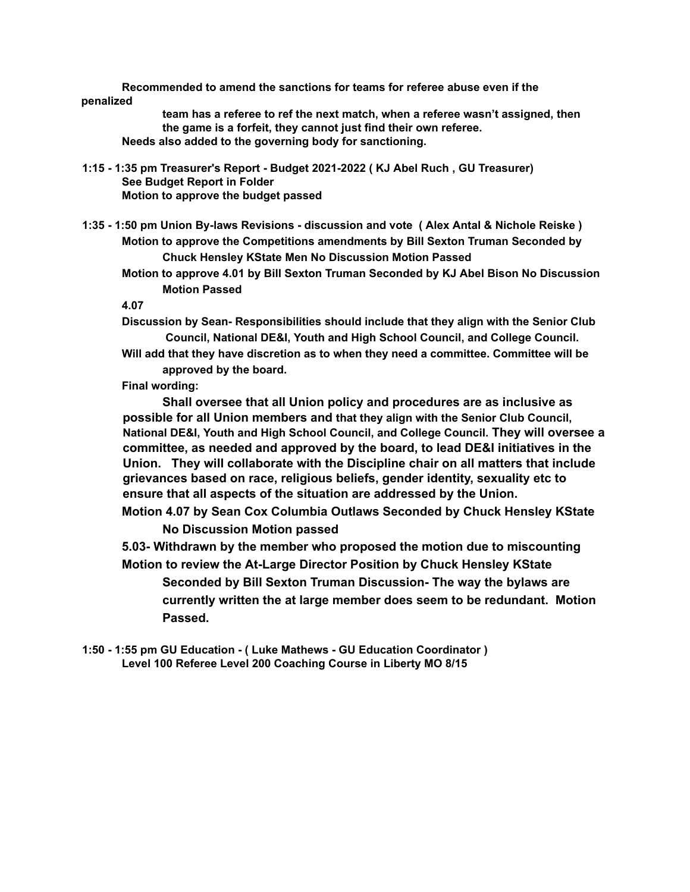**Recommended to amend the sanctions for teams for referee abuse even if the penalized**

**team has a referee to ref the next match, when a referee wasn't assigned, then the game is a forfeit, they cannot just find their own referee. Needs also added to the governing body for sanctioning.**

**1:15 - 1:35 pm Treasurer's Report - Budget 2021-2022 ( KJ Abel Ruch , GU Treasurer) See Budget Report in Folder Motion to approve the budget passed**

**1:35 - 1:50 pm Union By-laws Revisions - discussion and vote ( Alex Antal & Nichole Reiske ) Motion to approve the Competitions amendments by Bill Sexton Truman Seconded by Chuck Hensley KState Men No Discussion Motion Passed**

**Motion to approve 4.01 by Bill Sexton Truman Seconded by KJ Abel Bison No Discussion Motion Passed**

#### **4.07**

**Discussion by Sean- Responsibilities should include that they align with the Senior Club Council, National DE&I, Youth and High School Council, and College Council.**

**Will add that they have discretion as to when they need a committee. Committee will be approved by the board.**

#### **Final wording:**

**Shall oversee that all Union policy and procedures are as inclusive as possible for all Union members and that they align with the Senior Club Council, National DE&I, Youth and High School Council, and College Council. They will oversee a committee, as needed and approved by the board, to lead DE&I initiatives in the Union. They will collaborate with the Discipline chair on all matters that include grievances based on race, religious beliefs, gender identity, sexuality etc to ensure that all aspects of the situation are addressed by the Union.**

**Motion 4.07 by Sean Cox Columbia Outlaws Seconded by Chuck Hensley KState No Discussion Motion passed**

**5.03- Withdrawn by the member who proposed the motion due to miscounting Motion to review the At-Large Director Position by Chuck Hensley KState**

**Seconded by Bill Sexton Truman Discussion- The way the bylaws are currently written the at large member does seem to be redundant. Motion Passed.**

**1:50 - 1:55 pm GU Education - ( Luke Mathews - GU Education Coordinator ) Level 100 Referee Level 200 Coaching Course in Liberty MO 8/15**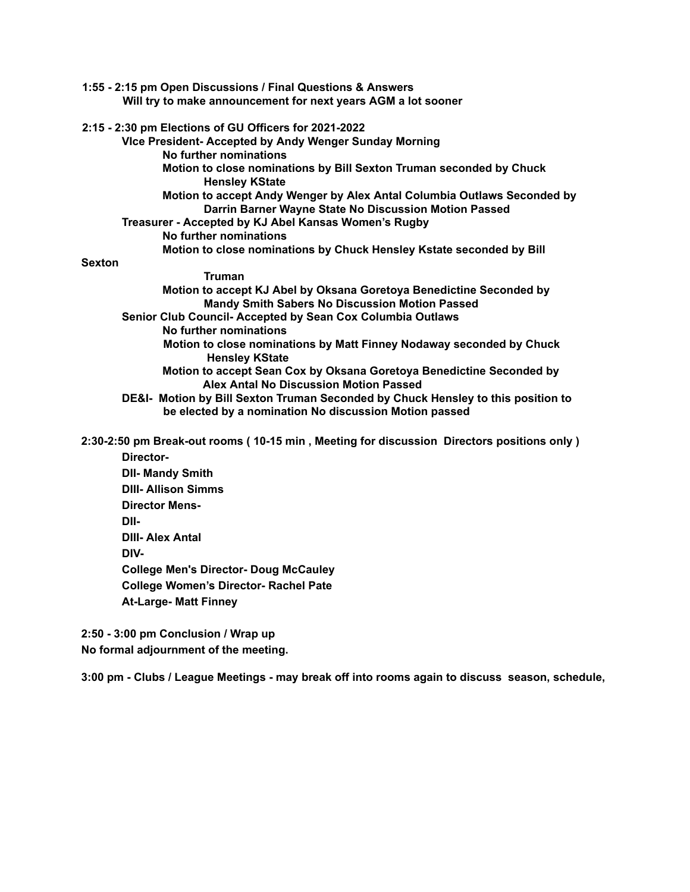| 1:55 - 2:15 pm Open Discussions / Final Questions & Answers                                                                      |
|----------------------------------------------------------------------------------------------------------------------------------|
| Will try to make announcement for next years AGM a lot sooner                                                                    |
| 2:15 - 2:30 pm Elections of GU Officers for 2021-2022                                                                            |
| Vice President- Accepted by Andy Wenger Sunday Morning                                                                           |
| No further nominations                                                                                                           |
| Motion to close nominations by Bill Sexton Truman seconded by Chuck<br><b>Hensley KState</b>                                     |
| Motion to accept Andy Wenger by Alex Antal Columbia Outlaws Seconded by<br>Darrin Barner Wayne State No Discussion Motion Passed |
| Treasurer - Accepted by KJ Abel Kansas Women's Rugby                                                                             |
| No further nominations                                                                                                           |
| Motion to close nominations by Chuck Hensley Kstate seconded by Bill                                                             |
| <b>Sexton</b>                                                                                                                    |
| <b>Truman</b>                                                                                                                    |
| Motion to accept KJ Abel by Oksana Goretoya Benedictine Seconded by                                                              |
| Mandy Smith Sabers No Discussion Motion Passed                                                                                   |
| Senior Club Council- Accepted by Sean Cox Columbia Outlaws                                                                       |
| No further nominations                                                                                                           |
| Motion to close nominations by Matt Finney Nodaway seconded by Chuck<br><b>Hensley KState</b>                                    |
| Motion to accept Sean Cox by Oksana Goretoya Benedictine Seconded by<br>Alex Antal No Discussion Motion Passed                   |
| DE&I- Motion by Bill Sexton Truman Seconded by Chuck Hensley to this position to                                                 |
| be elected by a nomination No discussion Motion passed                                                                           |
| 2:30-2:50 pm Break-out rooms (10-15 min, Meeting for discussion Directors positions only)                                        |
| Director-                                                                                                                        |
| <b>DII- Mandy Smith</b>                                                                                                          |
| <b>DIII- Allison Simms</b>                                                                                                       |
| <b>Director Mens-</b>                                                                                                            |

**DII-**

**DIII- Alex Antal**

**DIV-**

**College Men's Director- Doug McCauley**

**College Women's Director- Rachel Pate**

**At-Large- Matt Finney**

**2:50 - 3:00 pm Conclusion / Wrap up No formal adjournment of the meeting.**

**3:00 pm - Clubs / League Meetings - may break off into rooms again to discuss season, schedule,**